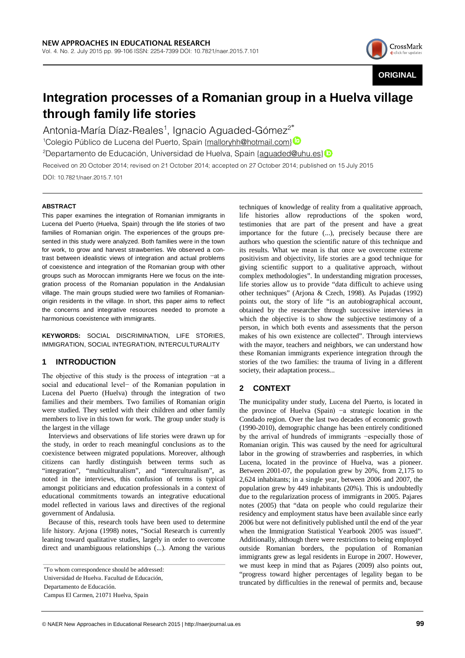

**ORIGINAL**

# **Integration processes of a Romanian group in a Huelva village through family life stories**

Antonia-María Díaz-Reales<sup>1</sup>, Ignacio Aguaded-Gómez $^{2^*}$ 

<sup>1</sup>Colegio Público de Lucena del Puerto, Spain {malloryhh@hotmail.com} <sup>2</sup>Departamentode Educación, Universidad de Huelva, Spain <u>{aguaded@uhu.es}</u>

Received on 20 October 2014; revised on 21 October 2014; accepted on 27 October 2014; published on 15 July 2015 DOI: 10.7821/naer.2015.7.101

### **ABSTRACT**

This paper examines the integration of Romanian immigrants in Lucena del Puerto (Huelva, Spain) through the life stories of two families of Romanian origin. The experiences of the groups presented in this study were analyzed. Both families were in the town for work, to grow and harvest strawberries. We observed a contrast between idealistic views of integration and actual problems of coexistence and integration of the Romanian group with other groups such as Moroccan immigrants Here we focus on the integration process of the Romanian population in the Andalusian village. The main groups studied were two families of Romanianorigin residents in the village. In short, this paper aims to reflect the concerns and integrative resources needed to promote a harmonious coexistence with immigrants.

**KEYWORDS:** SOCIAL DISCRIMINATION, LIFE STORIES, IMMIGRATION, SOCIAL INTEGRATION, INTERCULTURALITY

# **1 INTRODUCTION**

The objective of this study is the process of integration −at a social and educational level− of the Romanian population in Lucena del Puerto (Huelva) through the integration of two families and their members. Two families of Romanian origin were studied. They settled with their children and other family members to live in this town for work. The group under study is the largest in the village

Interviews and observations of life stories were drawn up for the study, in order to reach meaningful conclusions as to the coexistence between migrated populations. Moreover, although citizens can hardly distinguish between terms such as "integration", "multiculturalism", and "interculturalism", as noted in the interviews, this confusion of terms is typical amongst politicians and education professionals in a context of educational commitments towards an integrative educational model reflected in various laws and directives of the regional government of Andalusia.

Because of this, research tools have been used to determine life history. Arjona (1998) notes, "Social Research is currently leaning toward qualitative studies, largely in order to overcome direct and unambiguous relationships (...). Among the various

Universidad de Huelva. Facultad de Educación,

Departamento de Educación.

techniques of knowledge of reality from a qualitative approach, life histories allow reproductions of the spoken word, testimonies that are part of the present and have a great importance for the future (...), precisely because there are authors who question the scientific nature of this technique and its results. What we mean is that once we overcome extreme positivism and objectivity, life stories are a good technique for giving scientific support to a qualitative approach, without complex methodologies". In understanding migration processes, life stories allow us to provide "data difficult to achieve using other techniques" (Arjona & Czech, 1998). As Pujadas (1992) points out, the story of life "is an autobiographical account, obtained by the researcher through successive interviews in which the objective is to show the subjective testimony of a person, in which both events and assessments that the person makes of his own existence are collected". Through interviews with the mayor, teachers and neighbors, we can understand how these Romanian immigrants experience integration through the stories of the two families: the trauma of living in a different society, their adaptation process...

# **2 CONTEXT**

The municipality under study, Lucena del Puerto, is located in the province of Huelva (Spain) −a strategic location in the Condado region. Over the last two decades of economic growth (1990-2010), demographic change has been entirely conditioned by the arrival of hundreds of immigrants −especially those of Romanian origin. This was caused by the need for agricultural labor in the growing of strawberries and raspberries, in which Lucena, located in the province of Huelva, was a pioneer. Between 2001-07, the population grew by 20%, from 2,175 to 2,624 inhabitants; in a single year, between 2006 and 2007, the population grew by 449 inhabitants (20%). This is undoubtedly due to the regularization process of immigrants in 2005. Pajares notes (2005) that "data on people who could regularize their residency and employment status have been available since early 2006 but were not definitively published until the end of the year when the Immigration Statistical Yearbook 2005 was issued". Additionally, although there were restrictions to being employed outside Romanian borders, the population of Romanian immigrants grew as legal residents in Europe in 2007. However, we must keep in mind that as Pajares (2009) also points out, "progress toward higher percentages of legality began to be truncated by difficulties in the renewal of permits and, because

<sup>\*</sup>To whom correspondence should be addressed:

Campus El Carmen, 21071 Huelva, Spain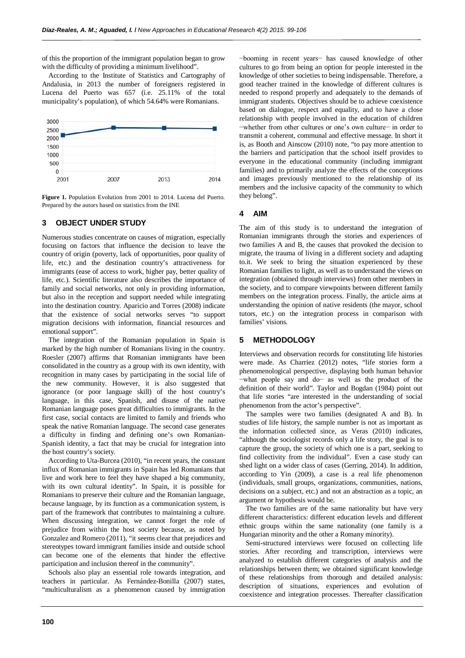of this the proportion of the immigrant population began to grow with the difficulty of providing a minimum livelihood".

According to the Institute of Statistics and Cartography of Andalusia, in 2013 the number of foreigners registered in Lucena del Puerto was 657 (i.e. 25.11% of the total municipality's population), of which 54.64% were Romanians.



**Figure 1.** Population Evolution from 2001 to 2014. Lucena del Puerto. Prepared by the autors based on statistics from the INE

### **3 OBJECT UNDER STUDY**

Numerous studies concentrate on causes of migration, especially focusing on factors that influence the decision to leave the country of origin (poverty, lack of opportunities, poor quality of life, etc.) and the destination country's attractiveness for immigrants (ease of access to work, higher pay, better quality of life, etc.). Scientific literature also describes the importance of family and social networks, not only in providing information, but also in the reception and support needed while integrating into the destination country. Aparicio and Torres (2008) indicate that the existence of social networks serves "to support migration decisions with information, financial resources and emotional support".

The integration of the Romanian population in Spain is marked by the high number of Romanians living in the country. Roesler (2007) affirms that Romanian immigrants have been consolidated in the country as a group with its own identity, with recognition in many cases by participating in the social life of the new community. However, it is also suggested that ignorance (or poor language skill) of the host country's language, in this case, Spanish, and disuse of the native Romanian language poses great difficulties to immigrants. In the first case, social contacts are limited to family and friends who speak the native Romanian language. The second case generates a difficulty in finding and defining one's own Romanian-Spanish identity, a fact that may be crucial for integration into the host country's society.

According to Uta-Burcea (2010), "in recent years, the constant influx of Romanian immigrants in Spain has led Romanians that live and work here to feel they have shaped a big community, with its own cultural identity". In Spain, it is possible for Romanians to preserve their culture and the Romanian language, because language, by its function as a communication system, is part of the framework that contributes to maintaining a culture. When discussing integration, we cannot forget the role of prejudice from within the host society because, as noted by Gonzalez and Romero (2011), "it seems clear that prejudices and stereotypes toward immigrant families inside and outside school can become one of the elements that hinder the effective participation and inclusion thereof in the community".

Schools also play an essential role towards integration, and teachers in particular. As Fernández-Bonilla (2007) states, "multiculturalism as a phenomenon caused by immigration −booming in recent years− has caused knowledge of other cultures to go from being an option for people interested in the knowledge of other societies to being indispensable. Therefore, a good teacher trained in the knowledge of different cultures is needed to respond properly and adequately to the demands of immigrant students. Objectives should be to achieve coexistence based on dialogue, respect and equality, and to have a close relationship with people involved in the education of children −whether from other cultures or one's own culture− in order to transmit a coherent, communal and effective message. In short it is, as Booth and Ainscow (2010) note, "to pay more attention to the barriers and participation that the school itself provides to everyone in the educational community (including immigrant families) and to primarily analyze the effects of the conceptions and images previously mentioned to the relationship of its members and the inclusive capacity of the community to which they belong".

#### **4 AIM**

The aim of this study is to understand the integration of Romanian immigrants through the stories and experiences of two families A and B, the causes that provoked the decision to migrate, the trauma of living in a different society and adapting to.it. We seek to bring the situation experienced by these Romanian families to light, as well as to understand the views on integration (obtained through interviews) from other members in the society, and to compare viewpoints between different family members on the integration process. Finally, the article aims at understanding the opinion of native residents (the mayor, school tutors, etc.) on the integration process in comparison with families' visions.

### **5 METHODOLOGY**

Interviews and observation records for constituting life histories were made. As Charriez (2012) notes, "life stories form a phenomenological perspective, displaying both human behavior −what people say and do− as well as the product of the definition of their world". Taylor and Bogdan (1984) point out that life stories "are interested in the understanding of social phenomenon from the actor's perspective".

The samples were two families (designated A and B). In studies of life history, the sample number is not as important as the information collected since, as Veras (2010) indicates, "although the sociologist records only a life story, the goal is to capture the group, the society of which one is a part, seeking to find collectivity from the individual". Even a case study can shed light on a wider class of cases (Gerring, 2014). In addition, according to Yin (2009), a case is a real life phenomenon (individuals, small groups, organizations, communities, nations, decisions on a subject, etc.) and not an abstraction as a topic, an argument or hypothesis would be.

The two families are of the same nationality but have very different characteristics: different education levels and different ethnic groups within the same nationality (one family is a Hungarian minority and the other a Romany minority).

Semi-structured interviews were focused on collecting life stories. After recording and transcription, interviews were analyzed to establish different categories of analysis and the relationships between them; we obtained significant knowledge of these relationships from thorough and detailed analysis: description of situations, experiences and evolution of coexistence and integration processes. Thereafter classification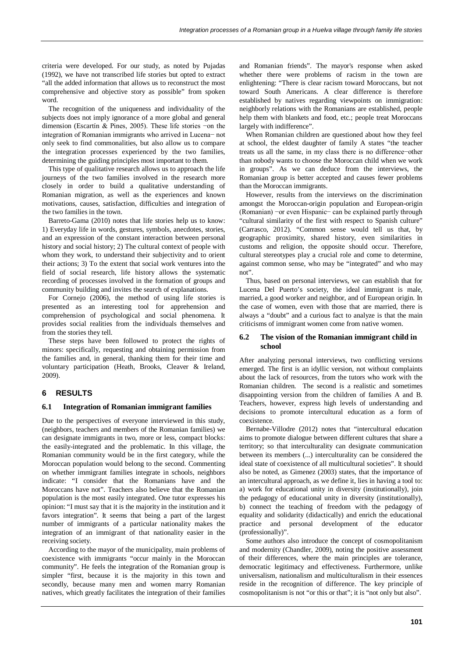criteria were developed. For our study, as noted by Pujadas (1992), we have not transcribed life stories but opted to extract "all the added information that allows us to reconstruct the most comprehensive and objective story as possible" from spoken word.

The recognition of the uniqueness and individuality of the subjects does not imply ignorance of a more global and general dimension (Escartín & Pines, 2005). These life stories −on the integration of Romanian immigrants who arrived in Lucena− not only seek to find commonalities, but also allow us to compare the integration processes experienced by the two families, determining the guiding principles most important to them.

This type of qualitative research allows us to approach the life journeys of the two families involved in the research more closely in order to build a qualitative understanding of Romanian migration, as well as the experiences and known motivations, causes, satisfaction, difficulties and integration of the two families in the town.

Barreto-Gama (2010) notes that life stories help us to know: 1) Everyday life in words, gestures, symbols, anecdotes, stories, and an expression of the constant interaction between personal history and social history; 2) The cultural context of people with whom they work, to understand their subjectivity and to orient their actions; 3) To the extent that social work ventures into the field of social research, life history allows the systematic recording of processes involved in the formation of groups and community building and invites the search of explanations.

For Cornejo (2006), the method of using life stories is presented as an interesting tool for apprehension and comprehension of psychological and social phenomena. It provides social realities from the individuals themselves and from the stories they tell.

These steps have been followed to protect the rights of minors: specifically, requesting and obtaining permission from the families and, in general, thanking them for their time and voluntary participation (Heath, Brooks, Cleaver & Ireland, 2009).

### **6 RESULTS**

#### **6.1 Integration of Romanian immigrant families**

Due to the perspectives of everyone interviewed in this study, (neighbors, teachers and members of the Romanian families) we can designate immigrants in two, more or less, compact blocks: the easily-integrated and the problematic. In this village, the Romanian community would be in the first category, while the Moroccan population would belong to the second. Commenting on whether immigrant families integrate in schools, neighbors indicate: "I consider that the Romanians have and the Moroccans have not". Teachers also believe that the Romanian population is the most easily integrated. One tutor expresses his opinion: "I must say that it is the majority in the institution and it favors integration". It seems that being a part of the largest number of immigrants of a particular nationality makes the integration of an immigrant of that nationality easier in the receiving society.

According to the mayor of the municipality, main problems of coexistence with immigrants "occur mainly in the Moroccan community". He feels the integration of the Romanian group is simpler "first, because it is the majority in this town and secondly, because many men and women marry Romanian natives, which greatly facilitates the integration of their families

and Romanian friends". The mayor's response when asked whether there were problems of racism in the town are enlightening: "There is clear racism toward Moroccans, but not toward South Americans. A clear difference is therefore established by natives regarding viewpoints on immigration: neighborly relations with the Romanians are established, people help them with blankets and food, etc.; people treat Moroccans largely with indifference".

When Romanian children are questioned about how they feel at school, the eldest daughter of family A states "the teacher treats us all the same, in my class there is no difference−other than nobody wants to choose the Moroccan child when we work in groups". As we can deduce from the interviews, the Romanian group is better accepted and causes fewer problems than the Moroccan immigrants.

However, results from the interviews on the discrimination amongst the Moroccan-origin population and European-origin (Romanian) −or even Hispanic− can be explained partly through "cultural similarity of the first with respect to Spanish culture" (Carrasco, 2012). "Common sense would tell us that, by geographic proximity, shared history, even similarities in customs and religion, the opposite should occur. Therefore, cultural stereotypes play a crucial role and come to determine, against common sense, who may be "integrated" and who may not".

Thus, based on personal interviews, we can establish that for Lucena Del Puerto's society, the ideal immigrant is male, married, a good worker and neighbor, and of European origin. In the case of women, even with those that are married, there is always a "doubt" and a curious fact to analyze is that the main criticisms of immigrant women come from native women.

#### **6.2 The vision of the Romanian immigrant child in school**

After analyzing personal interviews, two conflicting versions emerged. The first is an idyllic version, not without complaints about the lack of resources, from the tutors who work with the Romanian children. The second is a realistic and sometimes disappointing version from the children of families A and B. Teachers, however, express high levels of understanding and decisions to promote intercultural education as a form of coexistence.

Bernabe-Villodre (2012) notes that "intercultural education aims to promote dialogue between different cultures that share a territory; so that interculturality can designate communication between its members (...) interculturality can be considered the ideal state of coexistence of all multicultural societies". It should also be noted, as Gimenez (2003) states, that the importance of an intercultural approach, as we define it, lies in having a tool to: a) work for educational unity in diversity (institutionally), join the pedagogy of educational unity in diversity (institutionally), b) connect the teaching of freedom with the pedagogy of equality and solidarity (didactically) and enrich the educational practice and personal development of the educator (professionally)".

Some authors also introduce the concept of cosmopolitanism and modernity (Chandler, 2009), noting the positive assessment of their differences, where the main principles are tolerance, democratic legitimacy and effectiveness. Furthermore, unlike universalism, nationalism and multiculturalism in their essences reside in the recognition of difference. The key principle of cosmopolitanism is not "or this or that"; it is "not only but also".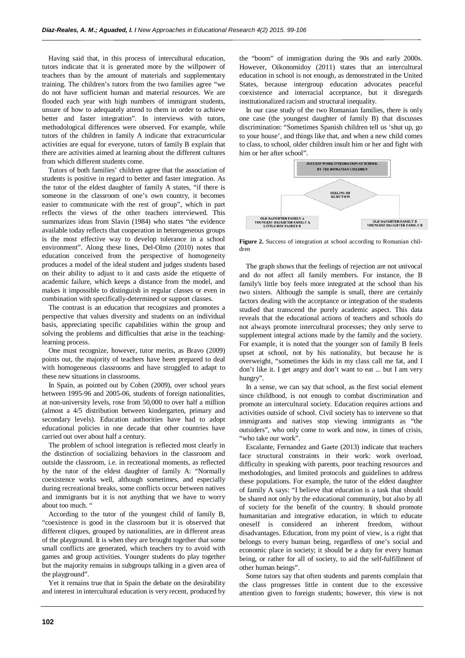Having said that, in this process of intercultural education, tutors indicate that it is generated more by the willpower of teachers than by the amount of materials and supplementary training. The children's tutors from the two families agree "we do not have sufficient human and material resources. We are flooded each year with high numbers of immigrant students, unsure of how to adequately attend to them in order to achieve better and faster integration". In interviews with tutors, methodological differences were observed. For example, while tutors of the children in family A indicate that extracurricular activities are equal for everyone, tutors of family B explain that there are activities aimed at learning about the different cultures from which different students come.

Tutors of both families' children agree that the association of students is positive in regard to better and faster integration. As the tutor of the eldest daughter of family A states, "if there is someone in the classroom of one's own country, it becomes easier to communicate with the rest of group", which in part reflects the views of the other teachers interviewed. This summarizes ideas from Slavin (1984) who states "the evidence available today reflects that cooperation in heterogeneous groups is the most effective way to develop tolerance in a school environment". Along these lines, Del-Olmo (2010) notes that education conceived from the perspective of homogeneity produces a model of the ideal student and judges students based on their ability to adjust to it and casts aside the etiquette of academic failure, which keeps a distance from the model, and makes it impossible to distinguish in regular classes or even in combination with specifically-determined or support classes.

The contrast is an education that recognizes and promotes a perspective that values diversity and students on an individual basis, appreciating specific capabilities within the group and solving the problems and difficulties that arise in the teachinglearning process.

One must recognize, however, tutor merits, as Bravo (2009) points out, the majority of teachers have been prepared to deal with homogeneous classrooms and have struggled to adapt to these new situations in classrooms.

In Spain, as pointed out by Cohen (2009), over school years between 1995-96 and 2005-06, students of foreign nationalities, at non-university levels, rose from 50,000 to over half a million (almost a 4/5 distribution between kindergarten, primary and secondary levels). Education authorities have had to adopt educational policies in one decade that other countries have carried out over about half a century.

The problem of school integration is reflected most clearly in the distinction of socializing behaviors in the classroom and outside the classroom, i.e. in recreational moments, as reflected by the tutor of the eldest daughter of family A: "Normally coexistence works well, although sometimes, and especially during recreational breaks, some conflicts occur between natives and immigrants but it is not anything that we have to worry about too much. "

According to the tutor of the youngest child of family B, "coexistence is good in the classroom but it is observed that different cliques, grouped by nationalities, are in different areas of the playground. It is when they are brought together that some small conflicts are generated, which teachers try to avoid with games and group activities. Younger students do play together but the majority remains in subgroups talking in a given area of the playground".

Yet it remains true that in Spain the debate on the desirability and interest in intercultural education is very recent, produced by the "boom" of immigration during the 90s and early 2000s. However, Oikonomidoy (2011) states that an intercultural education in school is not enough, as demonstrated in the United States, because intergroup education advocates peaceful coexistence and interracial acceptance, but it disregards institutionalized racism and structural inequality.

In our case study of the two Romanian families, there is only one case (the youngest daughter of family B) that discusses discrimination: "Sometimes Spanish children tell us 'shut up, go to your house', and things like that, and when a new child comes to class, to school, older children insult him or her and fight with him or her after school".



**Figure 2.** Success of integration at school according to Romanian children

The graph shows that the feelings of rejection are not univocal and do not affect all family members. For instance, the B family's little boy feels more integrated at the school than his two sisters. Although the sample is small, there are certainly factors dealing with the acceptance or integration of the students studied that transcend the purely academic aspect. This data reveals that the educational actions of teachers and schools do not always promote intercultural processes; they only serve to supplement integral actions made by the family and the society. For example, it is noted that the younger son of family B feels upset at school, not by his nationality, but because he is overweight, "sometimes the kids in my class call me fat, and I don't like it. I get angry and don't want to eat ... but I am very hungry".

In a sense, we can say that school, as the first social element since childhood, is not enough to combat discrimination and promote an intercultural society. Education requires actions and activities outside of school. Civil society has to intervene so that immigrants and natives stop viewing immigrants as "the outsiders", who only come to work and now, in times of crisis, "who take our work".

Escalante, Fernandez and Gaete (2013) indicate that teachers face structural constraints in their work: work overload, difficulty in speaking with parents, poor teaching resources and methodologies, and limited protocols and guidelines to address these populations. For example, the tutor of the eldest daughter of family A says: "I believe that education is a task that should be shared not only by the educational community, but also by all of society for the benefit of the country. It should promote humanitarian and integrative education, in which to educate oneself is considered an inherent freedom, without disadvantages. Education, from my point of view, is a right that belongs to every human being, regardless of one's social and economic place in society; it should be a duty for every human being, or rather for all of society, to aid the self-fulfillment of other human beings".

Some tutors say that often students and parents complain that the class progresses little in content due to the excessive attention given to foreign students; however, this view is not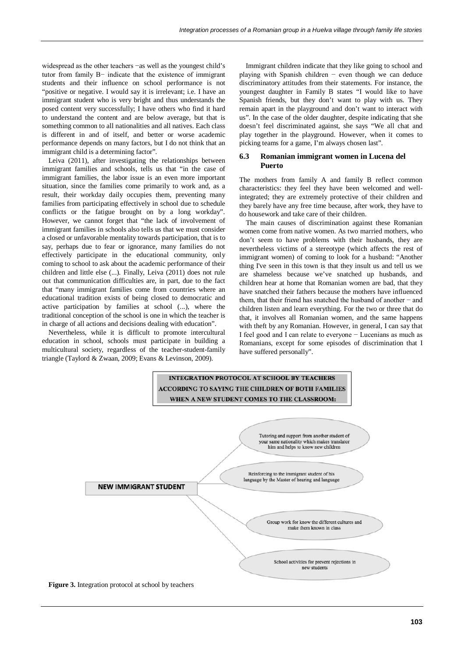widespread as the other teachers −as well as the youngest child's tutor from family B− indicate that the existence of immigrant students and their influence on school performance is not "positive or negative. I would say it is irrelevant; i.e. I have an immigrant student who is very bright and thus understands the posed content very successfully; I have others who find it hard to understand the content and are below average, but that is something common to all nationalities and all natives. Each class is different in and of itself, and better or worse academic performance depends on many factors, but I do not think that an immigrant child is a determining factor".

Leiva (2011), after investigating the relationships between immigrant families and schools, tells us that "in the case of immigrant families, the labor issue is an even more important situation, since the families come primarily to work and, as a result, their workday daily occupies them, preventing many families from participating effectively in school due to schedule conflicts or the fatigue brought on by a long workday". However, we cannot forget that "the lack of involvement of immigrant families in schools also tells us that we must consider a closed or unfavorable mentality towards participation, that is to say, perhaps due to fear or ignorance, many families do not effectively participate in the educational community, only coming to school to ask about the academic performance of their children and little else (...). Finally, Leiva (2011) does not rule out that communication difficulties are, in part, due to the fact that "many immigrant families come from countries where an educational tradition exists of being closed to democratic and active participation by families at school (...), where the traditional conception of the school is one in which the teacher is in charge of all actions and decisions dealing with education".

Nevertheless, while it is difficult to promote intercultural education in school, schools must participate in building a multicultural society, regardless of the teacher-student-family triangle (Taylord & Zwaan, 2009; Evans & Levinson, 2009).

Immigrant children indicate that they like going to school and playing with Spanish children − even though we can deduce discriminatory attitudes from their statements. For instance, the youngest daughter in Family B states "I would like to have Spanish friends, but they don't want to play with us. They remain apart in the playground and don't want to interact with us". In the case of the older daughter, despite indicating that she doesn't feel discriminated against, she says "We all chat and play together in the playground. However, when it comes to picking teams for a game, I'm always chosen last".

### **6.3 Romanian immigrant women in Lucena del Puerto**

The mothers from family A and family B reflect common characteristics: they feel they have been welcomed and wellintegrated; they are extremely protective of their children and they barely have any free time because, after work, they have to do housework and take care of their children.

The main causes of discrimination against these Romanian women come from native women. As two married mothers, who don't seem to have problems with their husbands, they are nevertheless victims of a stereotype (which affects the rest of immigrant women) of coming to look for a husband: "Another thing I've seen in this town is that they insult us and tell us we are shameless because we've snatched up husbands, and children hear at home that Romanian women are bad, that they have snatched their fathers because the mothers have influenced them, that their friend has snatched the husband of another − and children listen and learn everything. For the two or three that do that, it involves all Romanian women, and the same happens with theft by any Romanian. However, in general, I can say that I feel good and I can relate to everyone − Lucenians as much as Romanians, except for some episodes of discrimination that I have suffered personally".



**Figure 3.** Integration protocol at school by teachers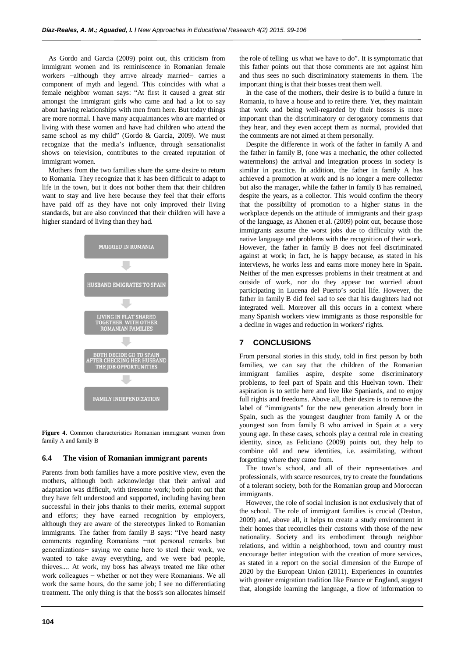As Gordo and Garcia (2009) point out, this criticism from immigrant women and its reminiscence in Romanian female workers −although they arrive already married− carries a component of myth and legend. This coincides with what a female neighbor woman says: "At first it caused a great stir amongst the immigrant girls who came and had a lot to say about having relationships with men from here. But today things are more normal. I have many acquaintances who are married or living with these women and have had children who attend the same school as my child" (Gordo & Garcia, 2009). We must recognize that the media's influence, through sensationalist shows on television, contributes to the created reputation of immigrant women.

Mothers from the two families share the same desire to return to Romania. They recognize that it has been difficult to adapt to life in the town, but it does not bother them that their children want to stay and live here because they feel that their efforts have paid off as they have not only improved their living standards, but are also convinced that their children will have a higher standard of living than they had.



**Figure 4.** Common characteristics Romanian immigrant women from family A and family B

#### **6.4 The vision of Romanian immigrant parents**

Parents from both families have a more positive view, even the mothers, although both acknowledge that their arrival and adaptation was difficult, with tiresome work; both point out that they have felt understood and supported, including having been successful in their jobs thanks to their merits, external support and efforts; they have earned recognition by employers, although they are aware of the stereotypes linked to Romanian immigrants. The father from family B says: "I've heard nasty comments regarding Romanians −not personal remarks but generalizations− saying we came here to steal their work, we wanted to take away everything, and we were bad people, thieves.... At work, my boss has always treated me like other work colleagues − whether or not they were Romanians. We all work the same hours, do the same job; I see no differentiating treatment. The only thing is that the boss's son allocates himself the role of telling us what we have to do". It is symptomatic that this father points out that those comments are not against him and thus sees no such discriminatory statements in them. The important thing is that their bosses treat them well.

In the case of the mothers, their desire is to build a future in Romania, to have a house and to retire there. Yet, they maintain that work and being well-regarded by their bosses is more important than the discriminatory or derogatory comments that they hear, and they even accept them as normal, provided that the comments are not aimed at them personally.

Despite the difference in work of the father in family A and the father in family B, (one was a mechanic, the other collected watermelons) the arrival and integration process in society is similar in practice. In addition, the father in family A has achieved a promotion at work and is no longer a mere collector but also the manager, while the father in family B has remained, despite the years, as a collector. This would confirm the theory that the possibility of promotion to a higher status in the workplace depends on the attitude of immigrants and their grasp of the language, as Ahonen et al. (2009) point out, because those immigrants assume the worst jobs due to difficulty with the native language and problems with the recognition of their work. However, the father in family B does not feel discriminated against at work; in fact, he is happy because, as stated in his interviews, he works less and earns more money here in Spain. Neither of the men expresses problems in their treatment at and outside of work, nor do they appear too worried about participating in Lucena del Puerto's social life. However, the father in family B did feel sad to see that his daughters had not integrated well. Moreover all this occurs in a context where many Spanish workers view immigrants as those responsible for a decline in wages and reduction in workers' rights.

## **7 CONCLUSIONS**

From personal stories in this study, told in first person by both families, we can say that the children of the Romanian immigrant families aspire, despite some discriminatory problems, to feel part of Spain and this Huelvan town. Their aspiration is to settle here and live like Spaniards, and to enjoy full rights and freedoms. Above all, their desire is to remove the label of "immigrants" for the new generation already born in Spain, such as the youngest daughter from family A or the youngest son from family B who arrived in Spain at a very young age. In these cases, schools play a central role in creating identity, since, as Feliciano (2009) points out, they help to combine old and new identities, i.e. assimilating, without forgetting where they came from.

The town's school, and all of their representatives and professionals, with scarce resources, try to create the foundations of a tolerant society, both for the Romanian group and Moroccan immigrants.

However, the role of social inclusion is not exclusively that of the school. The role of immigrant families is crucial (Deaton, 2009) and, above all, it helps to create a study environment in their homes that reconciles their customs with those of the new nationality. Society and its embodiment through neighbor relations, and within a neighborhood, town and country must encourage better integration with the creation of more services, as stated in a report on the social dimension of the Europe of 2020 by the European Union (2011). Experiences in countries with greater emigration tradition like France or England, suggest that, alongside learning the language, a flow of information to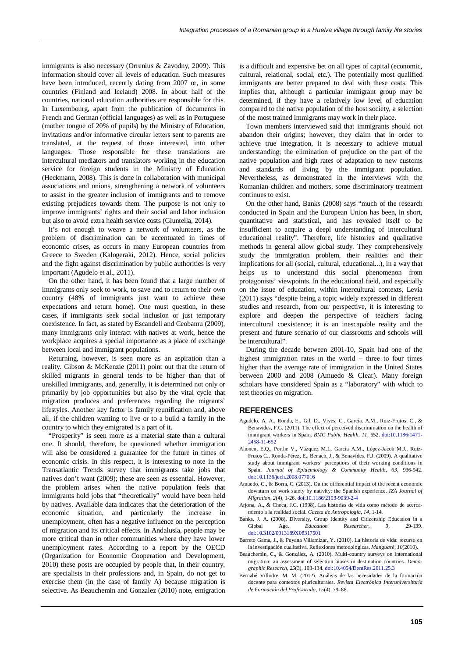immigrants is also necessary (Orrenius & Zavodny, 2009). This information should cover all levels of education. Such measures have been introduced, recently dating from 2007 or, in some countries (Finland and Iceland) 2008. In about half of the countries, national education authorities are responsible for this. In Luxembourg, apart from the publication of documents in French and German (official languages) as well as in Portuguese (mother tongue of 20% of pupils) by the Ministry of Education, invitations and/or informative circular letters sent to parents are translated, at the request of those interested, into other languages. Those responsible for these translations are intercultural mediators and translators working in the education service for foreign students in the Ministry of Education (Heckmann, 2008). This is done in collaboration with municipal associations and unions, strengthening a network of volunteers to assist in the greater inclusion of immigrants and to remove existing prejudices towards them. The purpose is not only to improve immigrants' rights and their social and labor inclusion but also to avoid extra health service costs (Giuntella, 2014).

It's not enough to weave a network of volunteers, as the problem of discrimination can be accentuated in times of economic crises, as occurs in many European countries from Greece to Sweden (Kalogeraki, 2012). Hence, social policies and the fight against discrimination by public authorities is very important (Agudelo et al., 2011).

On the other hand, it has been found that a large number of immigrants only seek to work, to save and to return to their own country (48% of immigrants just want to achieve these expectations and return home). One must question, in these cases, if immigrants seek social inclusion or just temporary coexistence. In fact, as stated by Escandell and Ceobamu (2009), many immigrants only interact with natives at work, hence the workplace acquires a special importance as a place of exchange between local and immigrant populations.

Returning, however, is seen more as an aspiration than a reality. Gibson & McKenzie (2011) point out that the return of skilled migrants in general tends to be higher than that of unskilled immigrants, and, generally, it is determined not only or primarily by job opportunities but also by the vital cycle that migration produces and preferences regarding the migrants' lifestyles. Another key factor is family reunification and, above all, if the children wanting to live or to a build a family in the country to which they emigrated is a part of it.

"Prosperity" is seen more as a material state than a cultural one. It should, therefore, be questioned whether immigration will also be considered a guarantee for the future in times of economic crisis. In this respect, it is interesting to note in the Transatlantic Trends survey that immigrants take jobs that natives don't want (2009); these are seen as essential. However, the problem arises when the native population feels that immigrants hold jobs that "theoretically" would have been held by natives. Available data indicates that the deterioration of the economic situation, and particularly the increase in unemployment, often has a negative influence on the perception of migration and its critical effects. In Andalusia, people may be more critical than in other communities where they have lower unemployment rates. According to a report by the OECD (Organization for Economic Cooperation and Development, 2010) these posts are occupied by people that, in their country, are specialists in their professions and, in Spain, do not get to exercise them (in the case of family A) because migration is selective. As Beauchemin and Gonzalez (2010) note, emigration is a difficult and expensive bet on all types of capital (economic, cultural, relational, social, etc.). The potentially most qualified immigrants are better prepared to deal with these costs. This implies that, although a particular immigrant group may be determined, if they have a relatively low level of education compared to the native population of the host society, a selection of the most trained immigrants may work in their place.

Town members interviewed said that immigrants should not abandon their origins; however, they claim that in order to achieve true integration, it is necessary to achieve mutual understanding; the elimination of prejudice on the part of the native population and high rates of adaptation to new customs and standards of living by the immigrant population. Nevertheless, as demonstrated in the interviews with the Romanian children and mothers, some discriminatory treatment continues to exist.

On the other hand, Banks (2008) says "much of the research conducted in Spain and the European Union has been, in short, quantitative and statistical, and has revealed itself to be insufficient to acquire a deepl understanding of intercultural educational reality". Therefore, life histories and qualitative methods in general allow global study. They comprehensively study the immigration problem, their realities and their implications for all (social, cultural, educational...), in a way that helps us to understand this social phenomenon from protagonists' viewpoints. In the educational field, and especially on the issue of education, within intercultural contexts, Levia (2011) says "despite being a topic widely expressed in different studies and research, from our perspective, it is interesting to explore and deepen the perspective of teachers facing intercultural coexistence; it is an inescapable reality and the present and future scenario of our classrooms and schools will be intercultural".

During the decade between 2001-10, Spain had one of the highest immigration rates in the world − three to four times higher than the average rate of immigration in the United States between 2000 and 2008 (Amuedo & Clear). Many foreign scholars have considered Spain as a "laboratory" with which to test theories on migration.

#### **REFERENCES**

- Agudelo, A. A., Ronda, E., Gil, D., Vives, C., García, A.M., Ruiz-Frutos, C., & Benavides, F.G. (2011). The effect of perceived discrimination on the health of immigrant workers in Spain. *BMC Public Health*, *11*, 652. doi[:10.1186/1471-](http://dx.doi.org/10.1186/1471-2458-11-652) [2458-11-652](http://dx.doi.org/10.1186/1471-2458-11-652)
- Ahonen, E.Q., Porthe V., Vázquez M.L, García A.M., López-Jacob M.J., Ruiz-Frutos C., Ronda-Pérez, E., Benach, J., & Benavides, F.J. (2009). A qualitative study about immigrant workers' perceptions of their working conditions in Spain. *Journal of Epidemiology & Community Health*, *63*, 936-942. do[i:10.1136/jech.2008.077016](http://dx.doi.org/10.1136/jech.2008.077016)
- Amuedo, C., & Borra, C. (2013). On the differential impact of the recent economic downturn on work safety by nativity: the Spanish experience. *IZA Journal of Migration*, *2*(4), 1-26. doi[:10.1186/2193-9039-2-4](http://dx.doi.org/10.1186/2193-9039-2-4)
- Arjona, A., & Checa, J.C. (1998). Las historias de vida como método de acercamiento a la realidad social. *Gazeta de Antropología*, *14*, 1-14.
- Banks, J. A. (2008). Diversity, Group Identity and Citizenship Education in a Global Age. *Education Researcher*, *3*, 29-139. do[i:10.3102/0013189X08317501](http://dx.doi.org/10.3102/0013189X08317501)
- Barreto Gama, J., & Puyana Villamizar, Y. (2010). La historia de vida: recurso en la investigación cualitativa. Reflexiones metodológicas. *Manguaré*, *10*(2010).
- Beauchemin, C., & González, A. (2010). Multi-country surveys on international migration: an assessment of selection biases in destination countries. *Demographic Research*, *25*(3), 103-134. do[i:10.4054/DemRes.2011.25.3](http://dx.doi.org/10.4054/DemRes.2011.25.3)
- Bernabé Villodre, M. M. (2012). Análisis de las necesidades de la formación docente para contextos pluriculturales. *Revista Electrónica Interuniversitaria de Formación del Profesorado*, *15*(4), 79–88.